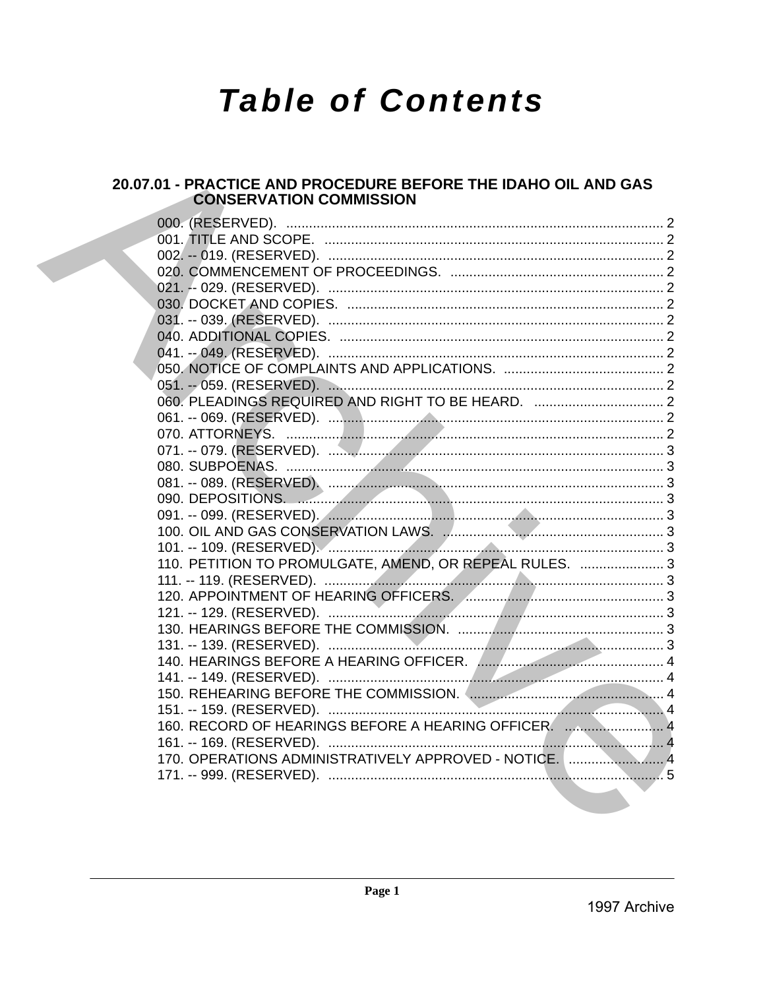# **Table of Contents**

# 20.07.01 - PRACTICE AND PROCEDURE BEFORE THE IDAHO OIL AND GAS **CONSERVATION COMMISSION**

| 110. PETITION TO PROMULGATE, AMEND, OR REPEAL RULES.  3 |  |
|---------------------------------------------------------|--|
|                                                         |  |
|                                                         |  |
|                                                         |  |
|                                                         |  |
|                                                         |  |
|                                                         |  |
|                                                         |  |
|                                                         |  |
|                                                         |  |
| 160. RECORD OF HEARINGS BEFORE A HEARING OFFICER.  4    |  |
|                                                         |  |
| 170. OPERATIONS ADMINISTRATIVELY APPROVED - NOTICE. 4   |  |
|                                                         |  |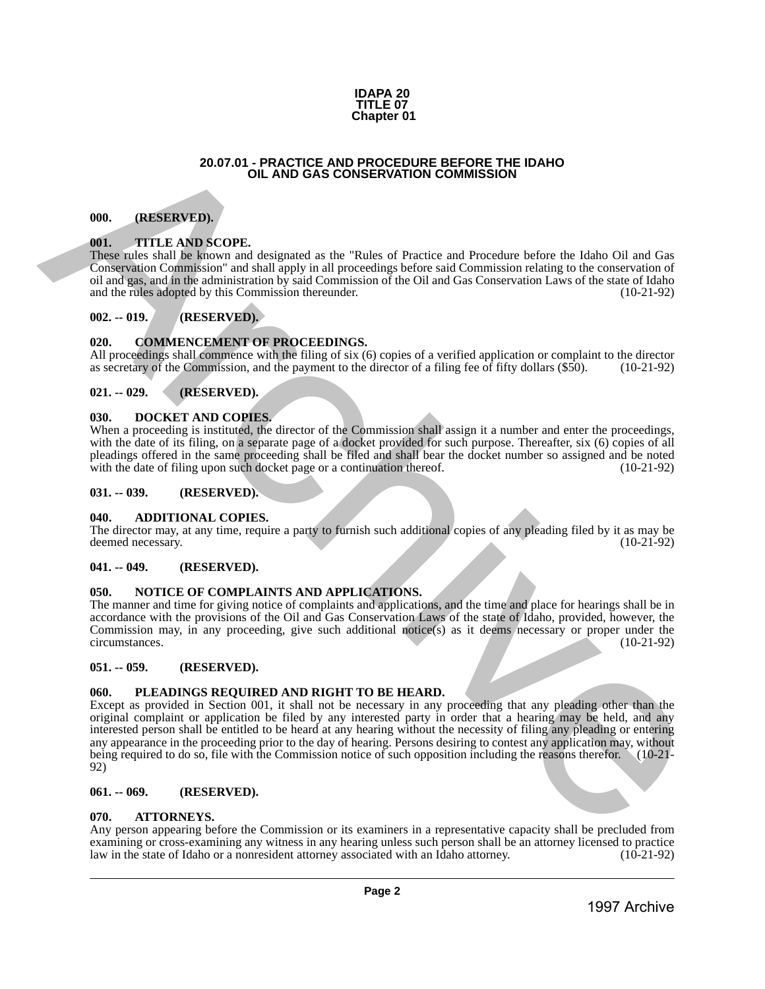#### **IDAPA 20 TITLE 07 Chapter 01**

#### **20.07.01 - PRACTICE AND PROCEDURE BEFORE THE IDAHO OIL AND GAS CONSERVATION COMMISSION**

#### <span id="page-1-1"></span>**000. (RESERVED).**

#### <span id="page-1-2"></span>**001. TITLE AND SCOPE.**

These rules shall be known and designated as the "Rules of Practice and Procedure before the Idaho Oil and Gas Conservation Commission" and shall apply in all proceedings before said Commission relating to the conservation of oil and gas, and in the administration by said Commission of the Oil and Gas Conservation Laws of the state of Idaho and the rules adopted by this Commission thereunder. (10-21-92)

# <span id="page-1-3"></span>**002. -- 019. (RESERVED).**

# <span id="page-1-4"></span>**020. COMMENCEMENT OF PROCEEDINGS.**

All proceedings shall commence with the filing of six (6) copies of a verified application or complaint to the director as secretary of the Commission, and the payment to the director of a filing fee of fifty dollars (\$50). (10-21-92)

#### <span id="page-1-5"></span>**021. -- 029. (RESERVED).**

#### <span id="page-1-6"></span>**030. DOCKET AND COPIES.**

When a proceeding is instituted, the director of the Commission shall assign it a number and enter the proceedings, with the date of its filing, on a separate page of a docket provided for such purpose. Thereafter, six (6) copies of all pleadings offered in the same proceeding shall be filed and shall bear the docket number so assigned and be noted with the date of filing upon such docket page or a continuation thereof. (10-21-92) with the date of filing upon such docket page or a continuation thereof.

#### <span id="page-1-7"></span>**031. -- 039. (RESERVED).**

#### <span id="page-1-8"></span>**040. ADDITIONAL COPIES.**

The director may, at any time, require a party to furnish such additional copies of any pleading filed by it as may be deemed necessary. (10-21-92)

#### <span id="page-1-9"></span>**041. -- 049. (RESERVED).**

#### <span id="page-1-10"></span>**050. NOTICE OF COMPLAINTS AND APPLICATIONS.**

The manner and time for giving notice of complaints and applications, and the time and place for hearings shall be in accordance with the provisions of the Oil and Gas Conservation Laws of the state of Idaho, provided, however, the Commission may, in any proceeding, give such additional notice(s) as it deems necessary or proper under the circumstances. (10-21-92) circumstances.

#### <span id="page-1-11"></span>**051. -- 059. (RESERVED).**

# <span id="page-1-12"></span>**060. PLEADINGS REQUIRED AND RIGHT TO BE HEARD.**

<span id="page-1-0"></span>Except as provided in Section 001, it shall not be necessary in any proceeding that any pleading other than the original complaint or application be filed by any interested party in order that a hearing may be held, and any interested person shall be entitled to be heard at any hearing without the necessity of filing any pleading or entering any appearance in the proceeding prior to the day of hearing. Persons desiring to contest any application may, without being required to do so, file with the Commission notice of such opposition including the reasons therefor. (10-21-92) 20.67.01 (PACIDES AND DROCEDURE BEFORE THE IDANO<br>
1997 ATTLES AND SCONSEN AT ON COMMISSION<br>
1997 ATTLES AND SCONSEN ARCHIVES COMMISSION<br>
1997 ATTLES AND SCONSEN ARCHIVES COMMISSION COMMISSION<br>
1997 ATTLES AND SCONSEN ARCH

#### <span id="page-1-13"></span>**061. -- 069. (RESERVED).**

#### <span id="page-1-14"></span>**070. ATTORNEYS.**

Any person appearing before the Commission or its examiners in a representative capacity shall be precluded from examining or cross-examining any witness in any hearing unless such person shall be an attorney licensed to practice<br>law in the state of Idaho or a nonresident attorney associated with an Idaho attorney. (10-21-92) law in the state of Idaho or a nonresident attorney associated with an Idaho attorney.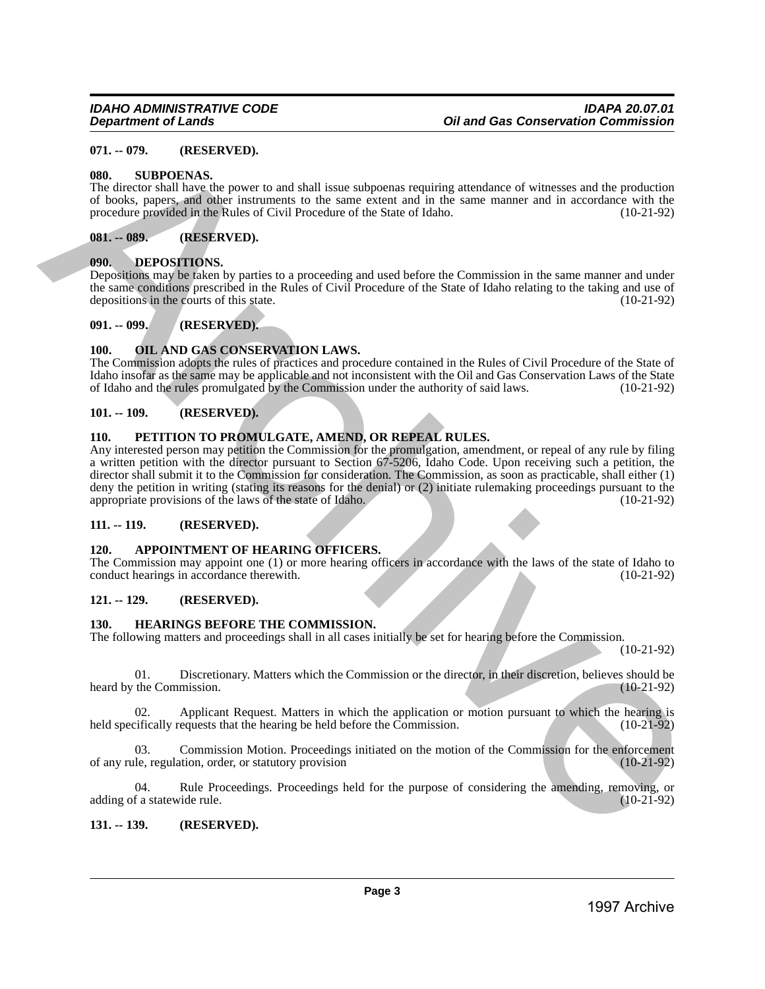# <span id="page-2-0"></span>**071. -- 079. (RESERVED).**

#### <span id="page-2-1"></span>**080. SUBPOENAS.**

The director shall have the power to and shall issue subpoenas requiring attendance of witnesses and the production of books, papers, and other instruments to the same extent and in the same manner and in accordance with the procedure provided in the Rules of Civil Procedure of the State of Idaho. (10-21-92)

# <span id="page-2-2"></span>**081. -- 089. (RESERVED).**

# <span id="page-2-3"></span>**090. DEPOSITIONS.**

Depositions may be taken by parties to a proceeding and used before the Commission in the same manner and under the same conditions prescribed in the Rules of Civil Procedure of the State of Idaho relating to the taking and use of depositions in the courts of this state. depositions in the courts of this state.

<span id="page-2-4"></span>**091. -- 099. (RESERVED).**

# <span id="page-2-5"></span>**100. OIL AND GAS CONSERVATION LAWS.**

The Commission adopts the rules of practices and procedure contained in the Rules of Civil Procedure of the State of Idaho insofar as the same may be applicable and not inconsistent with the Oil and Gas Conservation Laws of the State<br>of Idaho and the rules promulgated by the Commission under the authority of said laws. (10-21-92) of Idaho and the rules promulgated by the Commission under the authority of said laws.

# <span id="page-2-6"></span>**101. -- 109. (RESERVED).**

# <span id="page-2-7"></span>**110. PETITION TO PROMULGATE, AMEND, OR REPEAL RULES.**

Any interested person may petition the Commission for the promulgation, amendment, or repeal of any rule by filing a written petition with the director pursuant to Section 67-5206, Idaho Code. Upon receiving such a petition, the director shall submit it to the Commission for consideration. The Commission, as soon as practicable, shall either (1) deny the petition in writing (stating its reasons for the denial) or (2) initiate rulemaking proceedings pursuant to the appropriate provisions of the laws of the state of Idaho. (10-21-92) appropriate provisions of the laws of the state of Idaho. 97. **(ALESEANTED)**<br>
1997. **CALCORAGES CONSULTERS**<br>
1998. **STAPORNAS.**<br>
The disconsisted model involvement of the state archive archive are not interesting to the state and the production<br>
consistent and the policies of th

# <span id="page-2-8"></span>**111. -- 119. (RESERVED).**

# <span id="page-2-9"></span>**120. APPOINTMENT OF HEARING OFFICERS.**

The Commission may appoint one (1) or more hearing officers in accordance with the laws of the state of Idaho to conduct hearings in accordance therewith. (10-21-92) conduct hearings in accordance therewith.

# <span id="page-2-10"></span>**121. -- 129. (RESERVED).**

# <span id="page-2-11"></span>**130. HEARINGS BEFORE THE COMMISSION.**

The following matters and proceedings shall in all cases initially be set for hearing before the Commission.

(10-21-92)

01. Discretionary. Matters which the Commission or the director, in their discretion, believes should be the Commission. (10-21-92) heard by the Commission.

02. Applicant Request. Matters in which the application or motion pursuant to which the hearing is exifically requests that the hearing be held before the Commission. (10-21-92) held specifically requests that the hearing be held before the Commission.

03. Commission Motion. Proceedings initiated on the motion of the Commission for the enforcement le, regulation, order, or statutory provision (10-21-92) of any rule, regulation, order, or statutory provision

04. Rule Proceedings. Proceedings held for the purpose of considering the amending, removing, or f a statewide rule. (10-21-92) adding of a statewide rule.

# <span id="page-2-12"></span>**131. -- 139. (RESERVED).**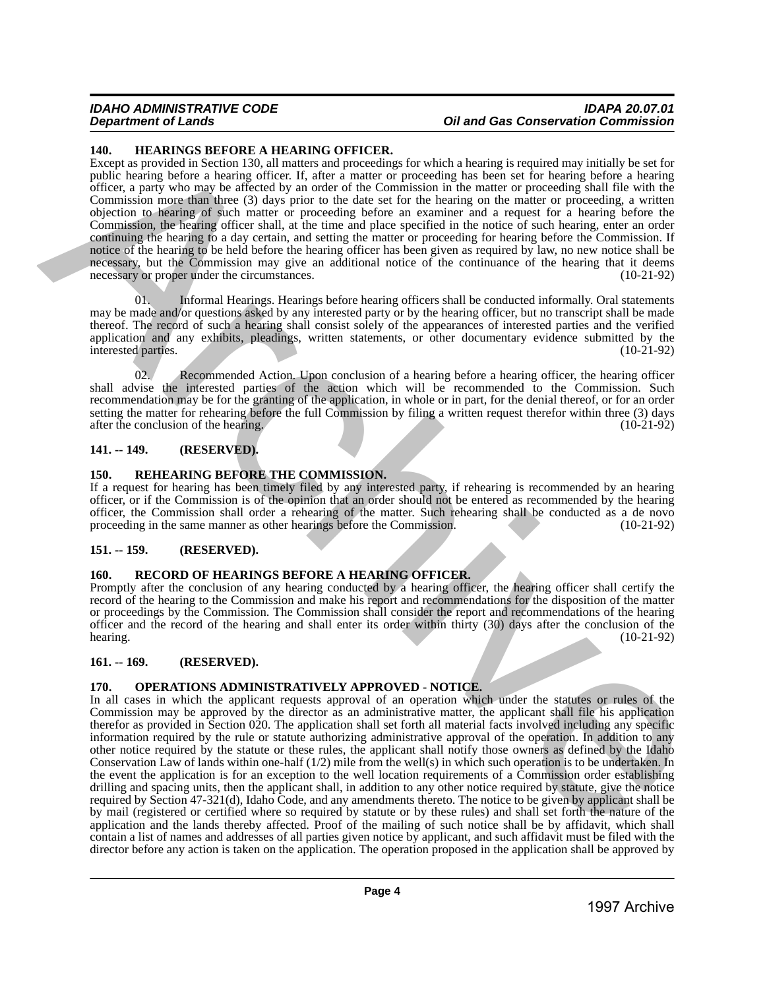#### *IDAHO ADMINISTRATIVE CODE IDAPA 20.07.01 Oil and Gas Conservation Commission*

#### <span id="page-3-0"></span>**140. HEARINGS BEFORE A HEARING OFFICER.**

Except as provided in Section 130, all matters and proceedings for which a hearing is required may initially be set for public hearing before a hearing officer. If, after a matter or proceeding has been set for hearing before a hearing officer, a party who may be affected by an order of the Commission in the matter or proceeding shall file with the Commission more than three (3) days prior to the date set for the hearing on the matter or proceeding, a written objection to hearing of such matter or proceeding before an examiner and a request for a hearing before the Commission, the hearing officer shall, at the time and place specified in the notice of such hearing, enter an order continuing the hearing to a day certain, and setting the matter or proceeding for hearing before the Commission. If notice of the hearing to be held before the hearing officer has been given as required by law, no new notice shall be necessary, but the Commission may give an additional notice of the continuance of the hearing that it deems necessary or proper under the circumstances. (10-21-92)

01. Informal Hearings. Hearings before hearing officers shall be conducted informally. Oral statements may be made and/or questions asked by any interested party or by the hearing officer, but no transcript shall be made thereof. The record of such a hearing shall consist solely of the appearances of interested parties and the verified application and any exhibits, pleadings, written statements, or other documentary evidence submitted by the interested parties. (10-21-92) interested parties.

02. Recommended Action. Upon conclusion of a hearing before a hearing officer, the hearing officer shall advise the interested parties of the action which will be recommended to the Commission. Such recommendation may be for the granting of the application, in whole or in part, for the denial thereof, or for an order setting the matter for rehearing before the full Commission by filing a written request therefor within three (3) days after the conclusion of the hearing. (10-21-92) after the conclusion of the hearing.

#### <span id="page-3-1"></span>**141. -- 149. (RESERVED).**

#### <span id="page-3-2"></span>**150. REHEARING BEFORE THE COMMISSION.**

If a request for hearing has been timely filed by any interested party, if rehearing is recommended by an hearing officer, or if the Commission is of the opinion that an order should not be entered as recommended by the hearing officer, the Commission shall order a rehearing of the matter. Such rehearing shall be conducted as a de novo proceeding in the same manner as other hearings before the Commission. (10-21-92) proceeding in the same manner as other hearings before the Commission.

# <span id="page-3-3"></span>**151. -- 159. (RESERVED).**

# <span id="page-3-4"></span>**160. RECORD OF HEARINGS BEFORE A HEARING OFFICER.**

Promptly after the conclusion of any hearing conducted by a hearing officer, the hearing officer shall certify the record of the hearing to the Commission and make his report and recommendations for the disposition of the matter or proceedings by the Commission. The Commission shall consider the report and recommendations of the hearing officer and the record of the hearing and shall enter its order within thirty (30) days after the conclusion of the hearing.  $(10-21-92)$ 

# <span id="page-3-5"></span>**161. -- 169. (RESERVED).**

# <span id="page-3-6"></span>**170. OPERATIONS ADMINISTRATIVELY APPROVED - NOTICE.**

In all cases in which the applicant requests approval of an operation which under the statutes or rules of the Commission may be approved by the director as an administrative matter, the applicant shall file his application therefor as provided in Section 020. The application shall set forth all material facts involved including any specific information required by the rule or statute authorizing administrative approval of the operation. In addition to any other notice required by the statute or these rules, the applicant shall notify those owners as defined by the Idaho Conservation Law of lands within one-half (1/2) mile from the well(s) in which such operation is to be undertaken. In the event the application is for an exception to the well location requirements of a Commission order establishing drilling and spacing units, then the applicant shall, in addition to any other notice required by statute, give the notice required by Section 47-321(d), Idaho Code, and any amendments thereto. The notice to be given by applicant shall be by mail (registered or certified where so required by statute or by these rules) and shall set forth the nature of the application and the lands thereby affected. Proof of the mailing of such notice shall be by affidavit, which shall contain a list of names and addresses of all parties given notice by applicant, and such affidavit must be filed with the director before any action is taken on the application. The operation proposed in the application shall be approved by 10. HEMANUARY BETWEEN MEASURE CONTENENT (WE which the contenent region with the state of the state of the state of the state of the state of the state of the state of the state of the state of the state of the state of th